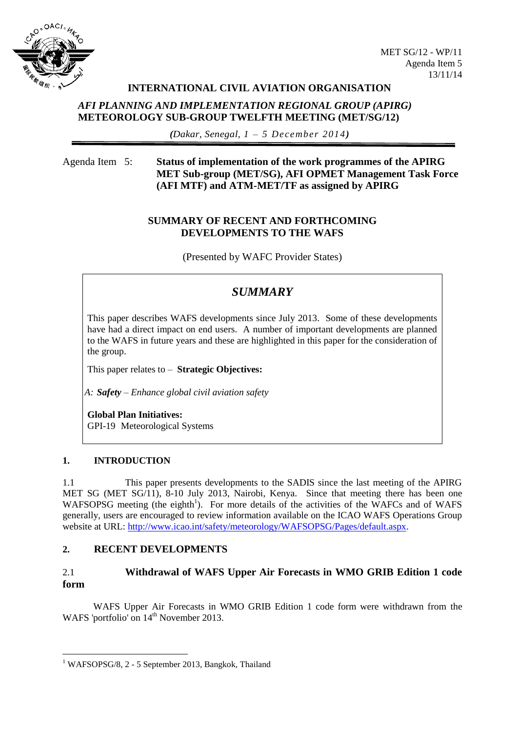

### **INTERNATIONAL CIVIL AVIATION ORGANISATION**

### *AFI PLANNING AND IMPLEMENTATION REGIONAL GROUP (APIRG)* **METEOROLOGY SUB-GROUP TWELFTH MEETING (MET/SG/12)**

*(Dakar, Senegal, 1 – 5 December 2014)*

# Agenda Item 5: **Status of implementation of the work programmes of the APIRG MET Sub-group (MET/SG), AFI OPMET Management Task Force (AFI MTF) and ATM-MET/TF as assigned by APIRG**

### **SUMMARY OF RECENT AND FORTHCOMING DEVELOPMENTS TO THE WAFS**

(Presented by WAFC Provider States)

# *SUMMARY*

This paper describes WAFS developments since July 2013. Some of these developments have had a direct impact on end users. A number of important developments are planned to the WAFS in future years and these are highlighted in this paper for the consideration of the group.

This paper relates to – **Strategic Objectives:**

*A: Safety – Enhance global civil aviation safety*

**Global Plan Initiatives:** GPI-19 Meteorological Systems

#### **1. INTRODUCTION**

1

1.1 This paper presents developments to the SADIS since the last meeting of the APIRG MET SG (MET SG/11), 8-10 July 2013, Nairobi, Kenya. Since that meeting there has been one WAFSOPSG meeting (the eighth<sup>1</sup>). For more details of the activities of the WAFCs and of WAFS generally, users are encouraged to review information available on the ICAO WAFS Operations Group website at URL: [http://www.icao.int/safety/meteorology/WAFSOPSG/Pages/default.aspx.](http://www.icao.int/safety/meteorology/WAFSOPSG/Pages/default.aspx)

### **2. RECENT DEVELOPMENTS**

# 2.1 **Withdrawal of WAFS Upper Air Forecasts in WMO GRIB Edition 1 code form**

WAFS Upper Air Forecasts in WMO GRIB Edition 1 code form were withdrawn from the WAFS 'portfolio' on 14<sup>th</sup> November 2013.

<sup>&</sup>lt;sup>1</sup> WAFSOPSG/8, 2 - 5 September 2013, Bangkok, Thailand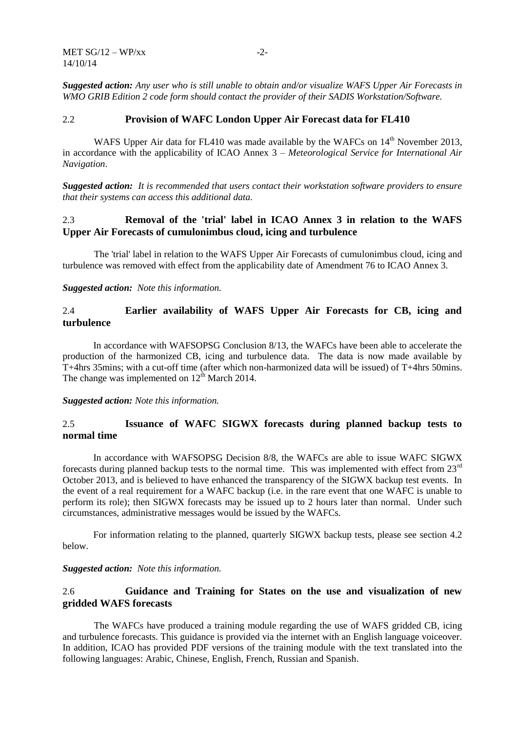*Suggested action: Any user who is still unable to obtain and/or visualize WAFS Upper Air Forecasts in WMO GRIB Edition 2 code form should contact the provider of their SADIS Workstation/Software.*

#### 2.2 **Provision of WAFC London Upper Air Forecast data for FL410**

WAFS Upper Air data for FL410 was made available by the WAFCs on  $14<sup>th</sup>$  November 2013, in accordance with the applicability of ICAO Annex 3 – *Meteorological Service for International Air Navigation*.

*Suggested action: It is recommended that users contact their workstation software providers to ensure that their systems can access this additional data.*

### 2.3 **Removal of the 'trial' label in ICAO Annex 3 in relation to the WAFS Upper Air Forecasts of cumulonimbus cloud, icing and turbulence**

The 'trial' label in relation to the WAFS Upper Air Forecasts of cumulonimbus cloud, icing and turbulence was removed with effect from the applicability date of Amendment 76 to ICAO Annex 3.

*Suggested action: Note this information.*

### 2.4 **Earlier availability of WAFS Upper Air Forecasts for CB, icing and turbulence**

In accordance with WAFSOPSG Conclusion 8/13, the WAFCs have been able to accelerate the production of the harmonized CB, icing and turbulence data. The data is now made available by T+4hrs 35mins; with a cut-off time (after which non-harmonized data will be issued) of T+4hrs 50mins. The change was implemented on  $12<sup>th</sup>$  March 2014.

*Suggested action: Note this information.*

### 2.5 **Issuance of WAFC SIGWX forecasts during planned backup tests to normal time**

In accordance with WAFSOPSG Decision 8/8, the WAFCs are able to issue WAFC SIGWX forecasts during planned backup tests to the normal time. This was implemented with effect from 23rd October 2013, and is believed to have enhanced the transparency of the SIGWX backup test events. In the event of a real requirement for a WAFC backup (i.e. in the rare event that one WAFC is unable to perform its role); then SIGWX forecasts may be issued up to 2 hours later than normal. Under such circumstances, administrative messages would be issued by the WAFCs.

For information relating to the planned, quarterly SIGWX backup tests, please see section [4.2](#page-3-0) below.

#### *Suggested action: Note this information.*

### <span id="page-1-0"></span>2.6 **Guidance and Training for States on the use and visualization of new gridded WAFS forecasts**

The WAFCs have produced a training module regarding the use of WAFS gridded CB, icing and turbulence forecasts. This guidance is provided via the internet with an English language voiceover. In addition, ICAO has provided PDF versions of the training module with the text translated into the following languages: Arabic, Chinese, English, French, Russian and Spanish.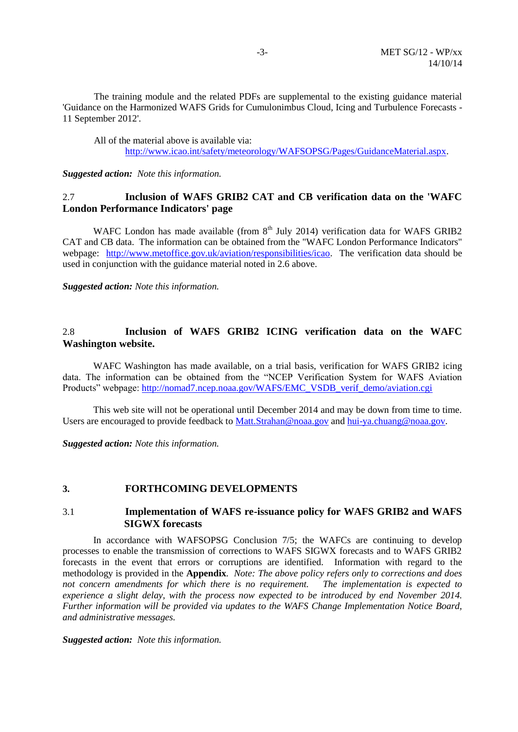The training module and the related PDFs are supplemental to the existing guidance material ['Guidance on the Harmonized WAFS Grids for Cumulonimbus Cloud, Icing and Turbulence Forecasts -](http://www.icao.int/safety/meteorology/WAFSOPSG/Guidance%20Material/Guidance%20on%20the%20Harmonized%20WAFS%20Grids%20for%20Cumulonimbus%20Cloud,%20Icing%20and%20Turbulence%20Forecasts%20-%2011%20September%202012.pdf) [11 September 2012'.](http://www.icao.int/safety/meteorology/WAFSOPSG/Guidance%20Material/Guidance%20on%20the%20Harmonized%20WAFS%20Grids%20for%20Cumulonimbus%20Cloud,%20Icing%20and%20Turbulence%20Forecasts%20-%2011%20September%202012.pdf)

All of the material above is available via: [http://www.icao.int/safety/meteorology/WAFSOPSG/Pages/GuidanceMaterial.aspx.](http://www.icao.int/safety/meteorology/WAFSOPSG/Pages/GuidanceMaterial.aspx)

*Suggested action: Note this information.*

# 2.7 **Inclusion of WAFS GRIB2 CAT and CB verification data on the 'WAFC London Performance Indicators' page**

WAFC London has made available (from  $8<sup>th</sup>$  July 2014) verification data for WAFS GRIB2 CAT and CB data. The information can be obtained from the "WAFC London Performance Indicators" webpage: [http://www.metoffice.gov.uk/aviation/responsibilities/icao.](http://www.metoffice.gov.uk/aviation/responsibilities/icao) The verification data should be used in conjunction with the guidance material noted in [2.6](#page-1-0) above.

*Suggested action: Note this information.*

### 2.8 **Inclusion of WAFS GRIB2 ICING verification data on the WAFC Washington website.**

WAFC Washington has made available, on a trial basis, verification for WAFS GRIB2 icing data. The information can be obtained from the "NCEP Verification System for WAFS Aviation Products" webpage: [http://nomad7.ncep.noaa.gov/WAFS/EMC\\_VSDB\\_verif\\_demo/aviation.cgi](http://nomad7.ncep.noaa.gov/WAFS/EMC_VSDB_verif_demo/aviation.cgi) 

This web site will not be operational until December 2014 and may be down from time to time. Users are encouraged to provide feedback to [Matt.Strahan@noaa.gov](mailto:Matt.Strahan@noaa.gov) and [hui-ya.chuang@noaa.gov.](mailto:hui-ya.chuang@noaa.gov)

*Suggested action: Note this information.*

#### **3. FORTHCOMING DEVELOPMENTS**

#### 3.1 **Implementation of WAFS re-issuance policy for WAFS GRIB2 and WAFS SIGWX forecasts**

In accordance with WAFSOPSG Conclusion 7/5; the WAFCs are continuing to develop processes to enable the transmission of corrections to WAFS SIGWX forecasts and to WAFS GRIB2 forecasts in the event that errors or corruptions are identified. Information with regard to the methodology is provided in the **Appendix**. *Note: The above policy refers only to corrections and does not concern amendments for which there is no requirement. The implementation is expected to experience a slight delay, with the process now expected to be introduced by end November 2014. Further information will be provided via updates to the WAFS Change Implementation Notice Board, and administrative messages.*

*Suggested action: Note this information.*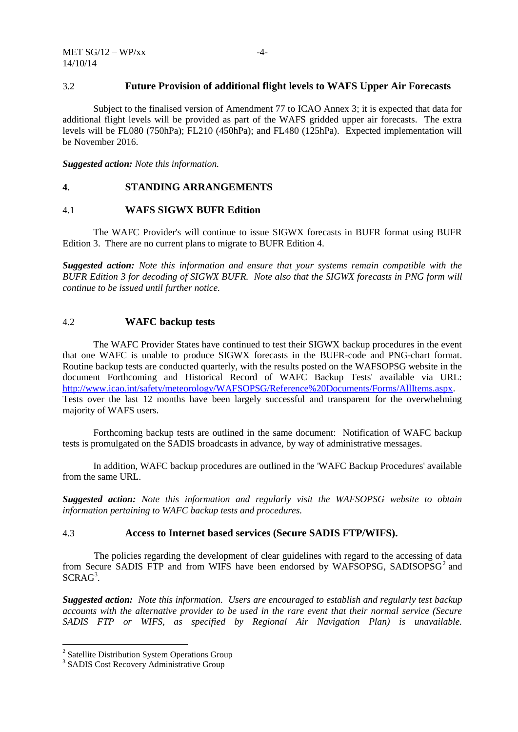#### 3.2 **Future Provision of additional flight levels to WAFS Upper Air Forecasts**

Subject to the finalised version of Amendment 77 to ICAO Annex 3; it is expected that data for additional flight levels will be provided as part of the WAFS gridded upper air forecasts. The extra levels will be FL080 (750hPa); FL210 (450hPa); and FL480 (125hPa). Expected implementation will be November 2016.

*Suggested action: Note this information.*

#### **4. STANDING ARRANGEMENTS**

#### 4.1 **WAFS SIGWX BUFR Edition**

The WAFC Provider's will continue to issue SIGWX forecasts in BUFR format using BUFR Edition 3. There are no current plans to migrate to BUFR Edition 4.

*Suggested action: Note this information and ensure that your systems remain compatible with the BUFR Edition 3 for decoding of SIGWX BUFR. Note also that the SIGWX forecasts in PNG form will continue to be issued until further notice.*

#### <span id="page-3-0"></span>4.2 **WAFC backup tests**

The WAFC Provider States have continued to test their SIGWX backup procedures in the event that one WAFC is unable to produce SIGWX forecasts in the BUFR-code and PNG-chart format. Routine backup tests are conducted quarterly, with the results posted on the WAFSOPSG website in the document Forthcoming and Historical Record of WAFC Backup Tests' available via URL: [http://www.icao.int/safety/meteorology/WAFSOPSG/Reference%20Documents/Forms/AllItems.aspx.](http://www.icao.int/safety/meteorology/WAFSOPSG/Reference%20Documents/Forms/AllItems.aspx) Tests over the last 12 months have been largely successful and transparent for the overwhelming majority of WAFS users.

Forthcoming backup tests are outlined in the same document: Notification of WAFC backup tests is promulgated on the SADIS broadcasts in advance, by way of administrative messages.

In addition, WAFC backup procedures are outlined in the 'WAFC Backup Procedures' available from the same URL.

*Suggested action: Note this information and regularly visit the WAFSOPSG website to obtain information pertaining to WAFC backup tests and procedures.*

### 4.3 **Access to Internet based services (Secure SADIS FTP/WIFS).**

The policies regarding the development of clear guidelines with regard to the accessing of data from Secure SADIS FTP and from WIFS have been endorsed by WAFSOPSG, SADISOPSG<sup>2</sup> and SCRAG<sup>3</sup>.

*Suggested action: Note this information. Users are encouraged to establish and regularly test backup accounts with the alternative provider to be used in the rare event that their normal service (Secure SADIS FTP or WIFS, as specified by Regional Air Navigation Plan) is unavailable.* 

 2 Satellite Distribution System Operations Group

<sup>&</sup>lt;sup>3</sup> SADIS Cost Recovery Administrative Group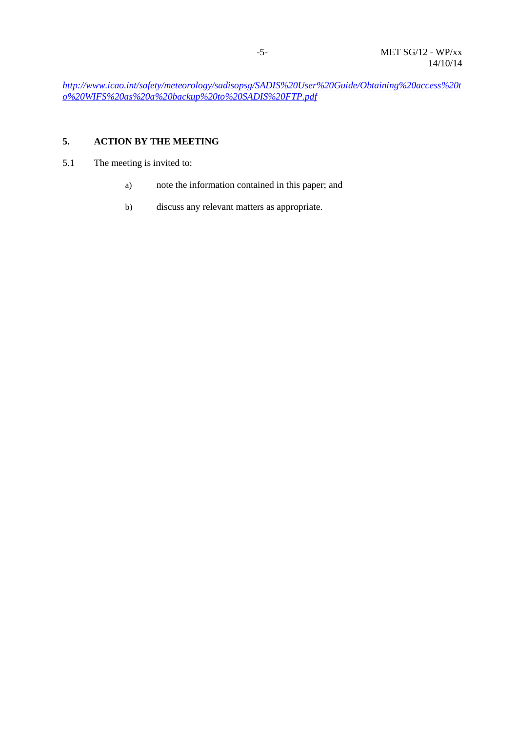*[http://www.icao.int/safety/meteorology/sadisopsg/SADIS%20User%20Guide/Obtaining%20access%20t](http://www.icao.int/safety/meteorology/sadisopsg/SADIS%20User%20Guide/Obtaining%20access%20to%20WIFS%20as%20a%20backup%20to%20SADIS%20FTP.pdf) [o%20WIFS%20as%20a%20backup%20to%20SADIS%20FTP.pdf](http://www.icao.int/safety/meteorology/sadisopsg/SADIS%20User%20Guide/Obtaining%20access%20to%20WIFS%20as%20a%20backup%20to%20SADIS%20FTP.pdf)*

# **5. ACTION BY THE MEETING**

- 5.1 The meeting is invited to:
	- a) note the information contained in this paper; and
	- b) discuss any relevant matters as appropriate.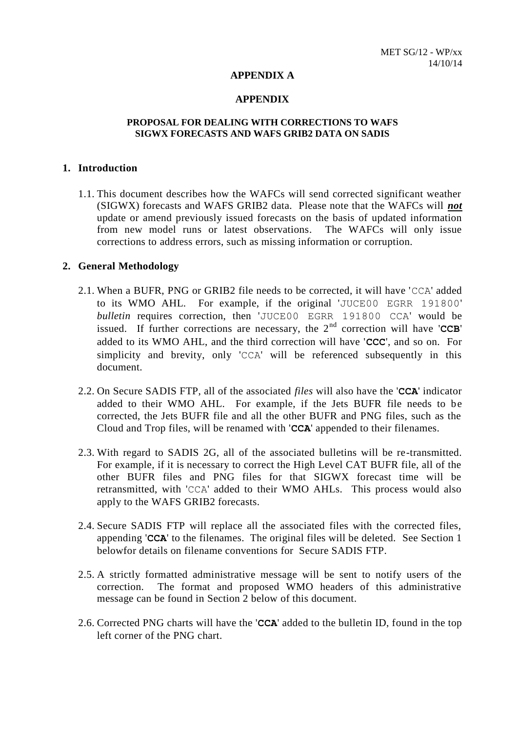#### **APPENDIX A**

#### **APPENDIX**

#### **PROPOSAL FOR DEALING WITH CORRECTIONS TO WAFS SIGWX FORECASTS AND WAFS GRIB2 DATA ON SADIS**

### **1. Introduction**

1.1. This document describes how the WAFCs will send corrected significant weather (SIGWX) forecasts and WAFS GRIB2 data. Please note that the WAFCs will *not* update or amend previously issued forecasts on the basis of updated information from new model runs or latest observations. The WAFCs will only issue corrections to address errors, such as missing information or corruption.

#### **2. General Methodology**

- 2.1. When a BUFR, PNG or GRIB2 file needs to be corrected, it will have 'CCA' added to its WMO AHL. For example, if the original 'JUCE00 EGRR 191800' *bulletin* requires correction, then 'JUCE00 EGRR 191800 CCA' would be issued. If further corrections are necessary, the  $2<sup>nd</sup>$  correction will have 'CCB' added to its WMO AHL, and the third correction will have '**CCC**', and so on. For simplicity and brevity, only 'CCA' will be referenced subsequently in this document.
- 2.2. On Secure SADIS FTP, all of the associated *files* will also have the '**CCA**' indicator added to their WMO AHL. For example, if the Jets BUFR file needs to be corrected, the Jets BUFR file and all the other BUFR and PNG files, such as the Cloud and Trop files, will be renamed with '**CCA**' appended to their filenames.
- 2.3. With regard to SADIS 2G, all of the associated bulletins will be re-transmitted. For example, if it is necessary to correct the High Level CAT BUFR file, all of the other BUFR files and PNG files for that SIGWX forecast time will be retransmitted, with 'CCA' added to their WMO AHLs. This process would also apply to the WAFS GRIB2 forecasts.
- 2.4. Secure SADIS FTP will replace all the associated files with the corrected files, appending '**CCA**' to the filenames. The original files will be deleted. See Section 1 belowfor details on filename conventions for Secure SADIS FTP.
- 2.5. A strictly formatted administrative message will be sent to notify users of the correction. The format and proposed WMO headers of this administrative message can be found in Section 2 below of this document.
- 2.6. Corrected PNG charts will have the '**CCA**' added to the bulletin ID, found in the top left corner of the PNG chart.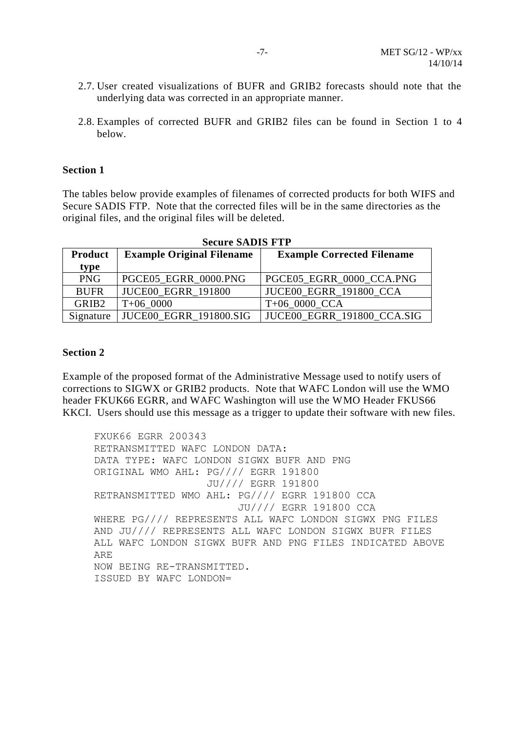- 2.7. User created visualizations of BUFR and GRIB2 forecasts should note that the underlying data was corrected in an appropriate manner.
- 2.8. Examples of corrected BUFR and GRIB2 files can be found in Section 1 to 4 below.

### **Section 1**

The tables below provide examples of filenames of corrected products for both WIFS and Secure SADIS FTP. Note that the corrected files will be in the same directories as the original files, and the original files will be deleted.

| <b>Product</b>    | <b>Example Original Filename</b> | <b>Example Corrected Filename</b> |
|-------------------|----------------------------------|-----------------------------------|
| type              |                                  |                                   |
| <b>PNG</b>        | PGCE05_EGRR_0000.PNG             | PGCE05 EGRR 0000 CCA.PNG          |
| <b>BUFR</b>       | <b>JUCE00 EGRR 191800</b>        | <b>JUCE00 EGRR 191800 CCA</b>     |
| GRIB <sub>2</sub> | $T+060000$                       | $T+06$ 0000 CCA                   |
| Signature         | <b>JUCE00 EGRR 191800.SIG</b>    | <b>JUCE00 EGRR 191800 CCA.SIG</b> |

### **Section 2**

Example of the proposed format of the Administrative Message used to notify users of corrections to SIGWX or GRIB2 products. Note that WAFC London will use the WMO header FKUK66 EGRR, and WAFC Washington will use the WMO Header FKUS66 KKCI. Users should use this message as a trigger to update their software with new files.

FXUK66 EGRR 200343 RETRANSMITTED WAFC LONDON DATA: DATA TYPE: WAFC LONDON SIGWX BUFR AND PNG ORIGINAL WMO AHL: PG//// EGRR 191800 JU//// EGRR 191800 RETRANSMITTED WMO AHL: PG//// EGRR 191800 CCA JU//// EGRR 191800 CCA WHERE PG//// REPRESENTS ALL WAFC LONDON SIGWX PNG FILES AND JU//// REPRESENTS ALL WAFC LONDON SIGWX BUFR FILES ALL WAFC LONDON SIGWX BUFR AND PNG FILES INDICATED ABOVE ARE NOW BEING RE-TRANSMITTED. ISSUED BY WAFC LONDON=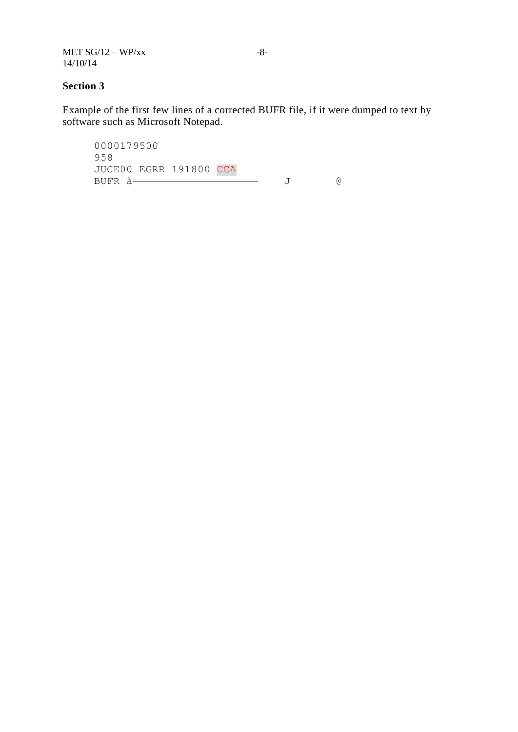MET  $SG/12 - WP/xx$ 14/10/14

### **Section 3**

Example of the first few lines of a corrected BUFR file, if it were dumped to text by software such as Microsoft Notepad.

0000179500 958 JUCE00 EGRR 191800 CCA BUFR à 3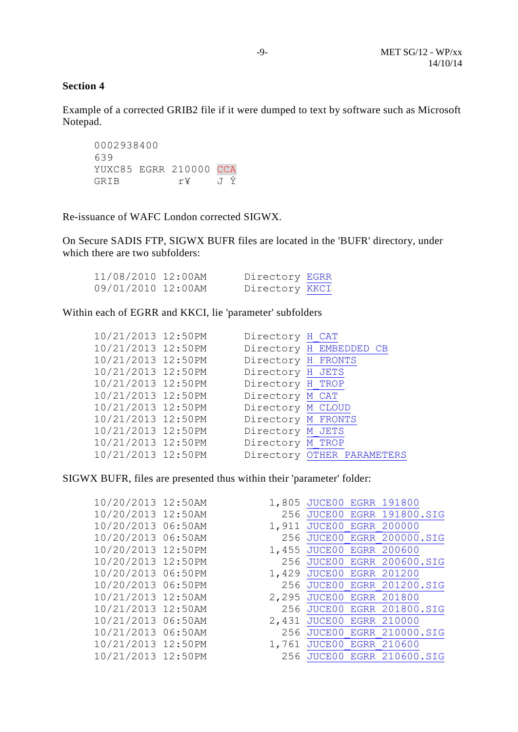### **Section 4**

Example of a corrected GRIB2 file if it were dumped to text by software such as Microsoft Notepad.

0002938400 639 YUXC85 EGRR 210000 CCA GRIB r¥ J Ý

Re-issuance of WAFC London corrected SIGWX.

On Secure SADIS FTP, SIGWX BUFR files are located in the 'BUFR' directory, under which there are two subfolders:

| 11/08/2010 12:00AM | Directory EGRR |  |
|--------------------|----------------|--|
| 09/01/2010 12:00AM | Directory KKCI |  |

Within each of EGRR and KKCI, lie 'parameter' subfolders

| 10/21/2013 12:50PM | Directory H CAT    |                            |
|--------------------|--------------------|----------------------------|
| 10/21/2013 12:50PM |                    | Directory H EMBEDDED CB    |
| 10/21/2013 12:50PM | Directory H FRONTS |                            |
| 10/21/2013 12:50PM | Directory H JETS   |                            |
| 10/21/2013 12:50PM | Directory H TROP   |                            |
| 10/21/2013 12:50PM | Directory M CAT    |                            |
| 10/21/2013 12:50PM | Directory M CLOUD  |                            |
| 10/21/2013 12:50PM | Directory M FRONTS |                            |
| 10/21/2013 12:50PM | Directory M JETS   |                            |
| 10/21/2013 12:50PM | Directory M TROP   |                            |
| 10/21/2013 12:50PM |                    | Directory OTHER PARAMETERS |

SIGWX BUFR, files are presented thus within their 'parameter' folder:

| 1,911                                                                                                                                                                                                                                                                                                            |     |                                                                                                                                                                                                                                                                                                                                                                                                                 |
|------------------------------------------------------------------------------------------------------------------------------------------------------------------------------------------------------------------------------------------------------------------------------------------------------------------|-----|-----------------------------------------------------------------------------------------------------------------------------------------------------------------------------------------------------------------------------------------------------------------------------------------------------------------------------------------------------------------------------------------------------------------|
|                                                                                                                                                                                                                                                                                                                  |     |                                                                                                                                                                                                                                                                                                                                                                                                                 |
|                                                                                                                                                                                                                                                                                                                  |     |                                                                                                                                                                                                                                                                                                                                                                                                                 |
|                                                                                                                                                                                                                                                                                                                  |     |                                                                                                                                                                                                                                                                                                                                                                                                                 |
|                                                                                                                                                                                                                                                                                                                  |     |                                                                                                                                                                                                                                                                                                                                                                                                                 |
|                                                                                                                                                                                                                                                                                                                  |     |                                                                                                                                                                                                                                                                                                                                                                                                                 |
|                                                                                                                                                                                                                                                                                                                  |     |                                                                                                                                                                                                                                                                                                                                                                                                                 |
|                                                                                                                                                                                                                                                                                                                  |     |                                                                                                                                                                                                                                                                                                                                                                                                                 |
|                                                                                                                                                                                                                                                                                                                  |     |                                                                                                                                                                                                                                                                                                                                                                                                                 |
|                                                                                                                                                                                                                                                                                                                  |     |                                                                                                                                                                                                                                                                                                                                                                                                                 |
|                                                                                                                                                                                                                                                                                                                  |     |                                                                                                                                                                                                                                                                                                                                                                                                                 |
|                                                                                                                                                                                                                                                                                                                  |     |                                                                                                                                                                                                                                                                                                                                                                                                                 |
| 10/20/2013 12:50AM<br>10/20/2013 12:50AM<br>10/20/2013 06:50AM<br>10/20/2013 06:50AM<br>10/20/2013 12:50PM<br>10/20/2013 12:50PM<br>10/20/2013 06:50PM<br>10/20/2013 06:50PM<br>10/21/2013 12:50AM<br>10/21/2013 12:50AM<br>10/21/2013 06:50AM<br>10/21/2013 06:50AM<br>10/21/2013 12:50PM<br>10/21/2013 12:50PM | 256 | 1,805 JUCE00 EGRR 191800<br>256 JUCE00 EGRR 191800.SIG<br><b>JUCE00 EGRR 200000</b><br>256 JUCE00 EGRR 200000.SIG<br>1,455 JUCE00 EGRR 200600<br>256 JUCE00 EGRR 200600.SIG<br>1,429 JUCE00 EGRR 201200<br>256 JUCE00 EGRR 201200.SIG<br>2,295 JUCE00 EGRR 201800<br>256 JUCE00 EGRR 201800.SIG<br>2,431 JUCE00 EGRR 210000<br>JUCE00 EGRR 210000.SIG<br>1,761 JUCE00 EGRR 210600<br>256 JUCE00 EGRR 210600.SIG |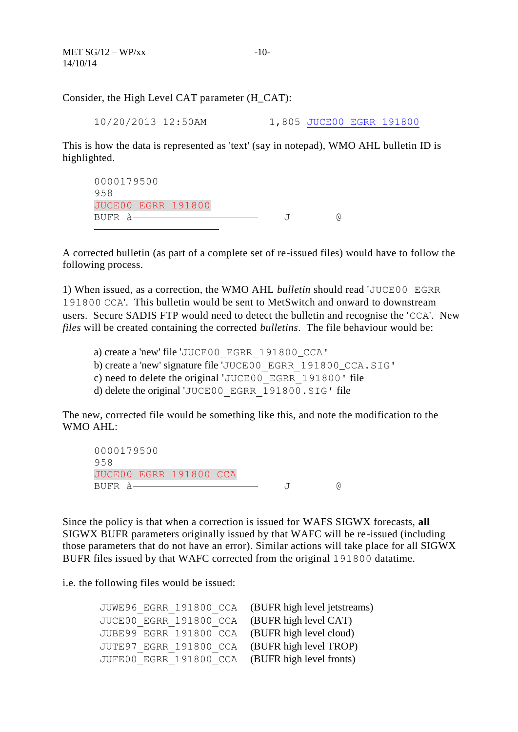Consider, the High Level CAT parameter (H\_CAT):

10/20/2013 12:50AM 1,805 [JUCE00\\_EGRR\\_191800](ftp://sadisftp.metoffice.gov.uk/BUFR/EGRR/H_CAT/JUCE00_EGRR_191800)

This is how the data is represented as 'text' (say in notepad), WMO AHL bulletin ID is highlighted.

0000179500 958 JUCE00 EGRR 191800 BUFR à J @ È,

A corrected bulletin (as part of a complete set of re-issued files) would have to follow the following process.

1) When issued, as a correction, the WMO AHL *bulletin* should read 'JUCE00 EGRR 191800 CCA'. This bulletin would be sent to MetSwitch and onward to downstream users. Secure SADIS FTP would need to detect the bulletin and recognise the 'CCA'. New *files* will be created containing the corrected *bulletins*. The file behaviour would be:

a) create a 'new' file '[JUCE00\\_EGRR\\_191800](ftp://sadisftp.metoffice.gov.uk/BUFR/EGRR/H_CAT/JUCE00_EGRR_191800)\_CCA' b) create a 'new' signature file '[JUCE00\\_EGRR\\_191800](ftp://sadisftp.metoffice.gov.uk/BUFR/EGRR/H_CAT/JUCE00_EGRR_191800)\_CCA.SIG' c) need to delete the original '[JUCE00\\_EGRR\\_191800](ftp://sadisftp.metoffice.gov.uk/BUFR/EGRR/H_CAT/JUCE00_EGRR_191800)' file

d) delete the original '[JUCE00\\_EGRR\\_191800.SIG](ftp://sadisftp.metoffice.gov.uk/BUFR/EGRR/H_CAT/JUCE00_EGRR_191800.SIG)' file

The new, corrected file would be something like this, and note the modification to the WMO AHL:

0000179500 958 JUCE00 EGRR 191800 CCA BUFR à J @ <u>—</u>

Since the policy is that when a correction is issued for WAFS SIGWX forecasts, **all** SIGWX BUFR parameters originally issued by that WAFC will be re-issued (including those parameters that do not have an error). Similar actions will take place for all SIGWX BUFR files issued by that WAFC corrected from the original 191800 datatime.

i.e. the following files would be issued:

| JUWE96 EGRR 191800 CCA (BUFR high level jetstreams) |  |
|-----------------------------------------------------|--|
| JUCE00 EGRR 191800 CCA (BUFR high level CAT)        |  |
| JUBE99 EGRR 191800 CCA (BUFR high level cloud)      |  |
| JUTE97 EGRR 191800 CCA (BUFR high level TROP)       |  |
| JUFE00 EGRR 191800 CCA (BUFR high level fronts)     |  |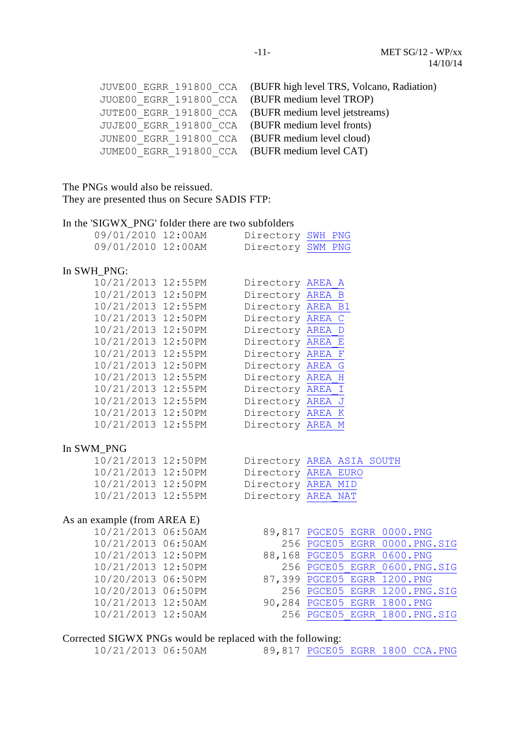| JUVE00 EGRR 191800 CCA (BUFR high level TRS, Volcano, Radiation) |
|------------------------------------------------------------------|
|                                                                  |
| JUOE00 EGRR 191800 CCA (BUFR medium level TROP)                  |
| JUTE00 EGRR 191800 CCA (BUFR medium level jetstreams)            |
| JUJE00 EGRR 191800 CCA (BUFR medium level fronts)                |
| JUNE00 EGRR 191800 CCA (BUFR medium level cloud)                 |
| JUME00 EGRR 191800 CCA (BUFR medium level CAT)                   |
|                                                                  |

The PNGs would also be reissued. They are presented thus on Secure SADIS FTP:

### In the 'SIGWX\_PNG' folder there are two subfolders

| 09/01/2010 12:00AM | Directory SWH PNG |  |
|--------------------|-------------------|--|
| 09/01/2010 12:00AM | Directory SWM PNG |  |

### In SWH\_PNG:

| 10/21/2013 12:55PM |                                      | Directory AREA A |  |
|--------------------|--------------------------------------|------------------|--|
|                    | 10/21/2013 12:50PM Directory AREA B  |                  |  |
|                    | 10/21/2013 12:55PM Directory AREA B1 |                  |  |
|                    | 10/21/2013 12:50PM Directory AREA C  |                  |  |
|                    | 10/21/2013 12:50PM                   | Directory AREA D |  |
|                    | 10/21/2013 12:50PM Directory AREA E  |                  |  |
|                    | 10/21/2013 12:55PM Directory AREA F  |                  |  |
|                    | 10/21/2013 12:50PM Directory AREA G  |                  |  |
|                    | 10/21/2013 12:55PM Directory AREA H  |                  |  |
|                    | 10/21/2013 12:55PM                   | Directory AREA I |  |
|                    | 10/21/2013 12:55PM Directory AREA J  |                  |  |
| 10/21/2013 12:50PM |                                      | Directory AREA K |  |
| 10/21/2013 12:55PM |                                      | Directory AREA M |  |
|                    |                                      |                  |  |
|                    |                                      |                  |  |

#### In SWM\_PNG

| 10/21/2013 12:50PM | Directory AREA ASIA SOUTH |  |  |
|--------------------|---------------------------|--|--|
| 10/21/2013 12:50PM | Directory AREA EURO       |  |  |
| 10/21/2013 12:50PM | Directory AREA MID        |  |  |
| 10/21/2013 12:55PM | Directory AREA NAT        |  |  |

# As an example (from AREA E)

| 10/21/2013 06:50AM |  |
|--------------------|--|
| 10/21/2013 06:50AM |  |
| 10/21/2013 12:50PM |  |
| 10/21/2013 12:50PM |  |
| 10/20/2013 06:50PM |  |
| 10/20/2013 06:50PM |  |
| 10/21/2013 12:50AM |  |
| 10/21/2013 12:50AM |  |
|                    |  |

| Adhipit (110111 ANLA L) |  |  |                              |  |
|-------------------------|--|--|------------------------------|--|
| 10/21/2013 06:50AM      |  |  | 89,817 PGCE05 EGRR 0000.PNG  |  |
| 10/21/2013 06:50AM      |  |  | 256 PGCE05 EGRR 0000.PNG.SIG |  |
| 10/21/2013 12:50PM      |  |  | 88,168 PGCE05 EGRR 0600.PNG  |  |
| 10/21/2013 12:50PM      |  |  | 256 PGCE05 EGRR 0600.PNG.SIG |  |
| 10/20/2013 06:50PM      |  |  | 87,399 PGCE05 EGRR 1200.PNG  |  |
| 10/20/2013 06:50PM      |  |  | 256 PGCE05 EGRR 1200.PNG.SIG |  |
| 10/21/2013 12:50AM      |  |  | 90,284 PGCE05 EGRR 1800.PNG  |  |

256 PGCE05 EGRR 1800.PNG.SIG

# Corrected SIGWX PNGs would be replaced with the following:

|--|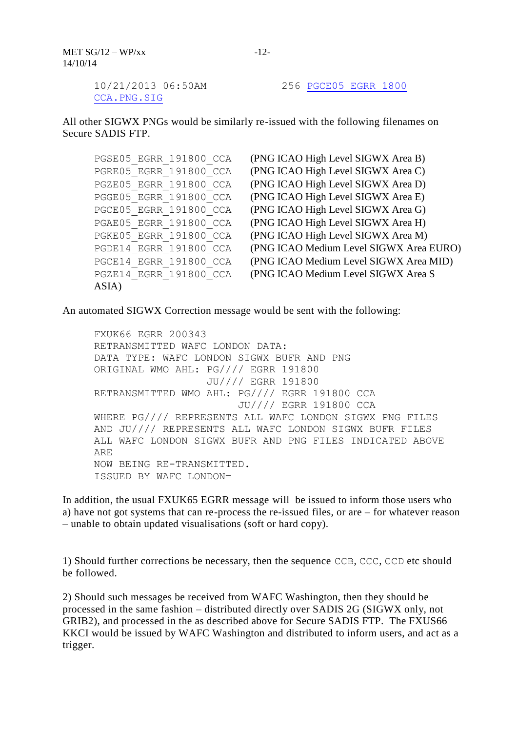MET  $SG/12 - WP/xx$ 14/10/14

[CCA.PNG.SIG](ftp://sadisftp.metoffice.gov.uk/SIGWX_PNG/SWH_PNG/AREA_G/PGCE05_EGRR_0000.PNG.SIG)

10/21/2013 06:50AM 256 [PGCE05\\_EGRR\\_1800](ftp://sadisftp.metoffice.gov.uk/SIGWX_PNG/SWH_PNG/AREA_G/PGCE05_EGRR_0000.PNG.SIG) 

All other SIGWX PNGs would be similarly re-issued with the following filenames on Secure SADIS FTP.

PGSE05 EGRR 191800 CCA (PNG ICAO High Level SIGWX Area B) ASIA)

PGRE05 EGRR 191800 CCA (PNG ICAO High Level SIGWX Area C) PGZE05 EGRR 191800 CCA (PNG ICAO High Level SIGWX Area D) PGGE05 EGRR 191800 CCA (PNG ICAO High Level SIGWX Area E) PGCE05 EGRR 191800 CCA (PNG ICAO High Level SIGWX Area G) PGAE05 EGRR 191800 CCA (PNG ICAO High Level SIGWX Area H) PGKE05 EGRR 191800 CCA (PNG ICAO High Level SIGWX Area M) PGDE14 EGRR 191800 CCA (PNG ICAO Medium Level SIGWX Area EURO) PGCE14 EGRR 191800 CCA (PNG ICAO Medium Level SIGWX Area MID) PGZE14\_EGRR\_191800\_CCA (PNG ICAO Medium Level SIGWX Area S

An automated SIGWX Correction message would be sent with the following:

FXUK66 EGRR 200343 RETRANSMITTED WAFC LONDON DATA: DATA TYPE: WAFC LONDON SIGWX BUFR AND PNG ORIGINAL WMO AHL: PG//// EGRR 191800 JU//// EGRR 191800 RETRANSMITTED WMO AHL: PG//// EGRR 191800 CCA JU//// EGRR 191800 CCA WHERE PG//// REPRESENTS ALL WAFC LONDON SIGWX PNG FILES AND JU//// REPRESENTS ALL WAFC LONDON SIGWX BUFR FILES ALL WAFC LONDON SIGWX BUFR AND PNG FILES INDICATED ABOVE ARE NOW BEING RE-TRANSMITTED. ISSUED BY WAFC LONDON=

In addition, the usual FXUK65 EGRR message will be issued to inform those users who a) have not got systems that can re-process the re-issued files, or are – for whatever reason – unable to obtain updated visualisations (soft or hard copy).

1) Should further corrections be necessary, then the sequence CCB, CCC, CCD etc should be followed.

2) Should such messages be received from WAFC Washington, then they should be processed in the same fashion – distributed directly over SADIS 2G (SIGWX only, not GRIB2), and processed in the as described above for Secure SADIS FTP. The FXUS66 KKCI would be issued by WAFC Washington and distributed to inform users, and act as a trigger.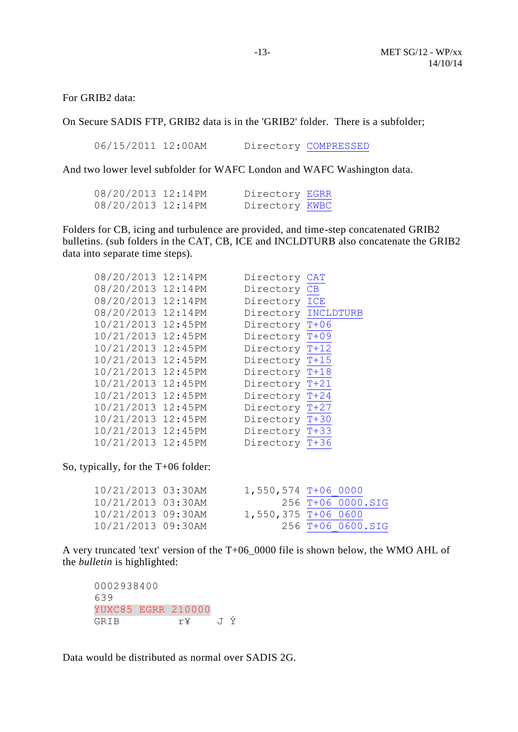For GRIB2 data:

On Secure SADIS FTP, GRIB2 data is in the 'GRIB2' folder. There is a subfolder;

06/15/2011 12:00AM Directory [COMPRESSED](ftp://sadisftp.metoffice.gov.uk/GRIB2/COMPRESSED/)

And two lower level subfolder for WAFC London and WAFC Washington data.

| 08/20/2013 12:14PM | Directory EGRR |  |
|--------------------|----------------|--|
| 08/20/2013 12:14PM | Directory KWBC |  |

Folders for CB, icing and turbulence are provided, and time-step concatenated GRIB2 bulletins. (sub folders in the CAT, CB, ICE and INCLDTURB also concatenate the GRIB2 data into separate time steps).

| 08/20/2013 12:14PM | Directory      | <b>CAT</b> |
|--------------------|----------------|------------|
| 08/20/2013 12:14PM | Directory      | CB         |
| 08/20/2013 12:14PM | Directory      | ICE        |
| 08/20/2013 12:14PM | Directory      | INCLDTURB  |
| 10/21/2013 12:45PM | Directory T+06 |            |
| 10/21/2013 12:45PM | Directory T+09 |            |
| 10/21/2013 12:45PM | Directory T+12 |            |
| 10/21/2013 12:45PM | Directory T+15 |            |
| 10/21/2013 12:45PM | Directory T+18 |            |
| 10/21/2013 12:45PM | Directory T+21 |            |
| 10/21/2013 12:45PM | Directory T+24 |            |
| 10/21/2013 12:45PM | Directory T+27 |            |
| 10/21/2013 12:45PM | Directory      | $T+30$     |
| 10/21/2013 12:45PM | Directory T+33 |            |
| 10/21/2013 12:45PM | Directory      | $T+36$     |
|                    |                |            |

So, typically, for the T+06 folder:

| 10/21/2013 03:30AM | 1,550,574 T+06 0000   |                   |
|--------------------|-----------------------|-------------------|
| 10/21/2013 03:30AM |                       | 256 T+06 0000.SIG |
| 10/21/2013 09:30AM | $1,550,375$ T+06 0600 |                   |
| 10/21/2013 09:30AM |                       | 256 T+06 0600.SIG |

A very truncated 'text' version of the T+06\_0000 file is shown below, the WMO AHL of the *bulletin* is highlighted:

0002938400 639 YUXC85 EGRR 210000 GRIB r¥ J Ý

Data would be distributed as normal over SADIS 2G.